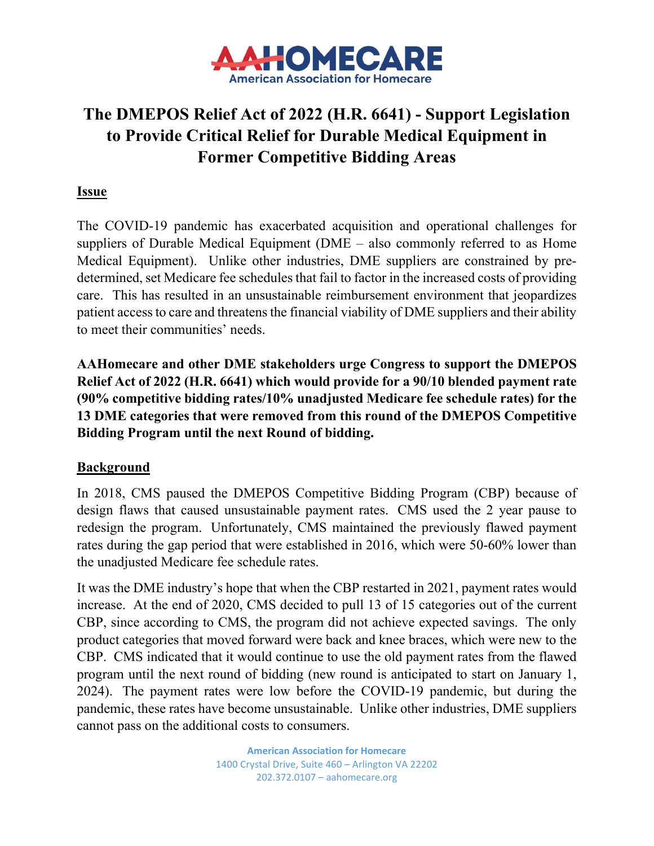

# **The DMEPOS Relief Act of 2022 (H.R. 6641) - Support Legislation to Provide Critical Relief for Durable Medical Equipment in Former Competitive Bidding Areas**

### **Issue**

The COVID-19 pandemic has exacerbated acquisition and operational challenges for suppliers of Durable Medical Equipment (DME – also commonly referred to as Home Medical Equipment). Unlike other industries, DME suppliers are constrained by predetermined, set Medicare fee schedules that fail to factor in the increased costs of providing care. This has resulted in an unsustainable reimbursement environment that jeopardizes patient access to care and threatens the financial viability of DME suppliers and their ability to meet their communities' needs.

**AAHomecare and other DME stakeholders urge Congress to support the DMEPOS Relief Act of 2022 (H.R. 6641) which would provide for a 90/10 blended payment rate (90% competitive bidding rates/10% unadjusted Medicare fee schedule rates) for the 13 DME categories that were removed from this round of the DMEPOS Competitive Bidding Program until the next Round of bidding.**

#### **Background**

In 2018, CMS paused the DMEPOS Competitive Bidding Program (CBP) because of design flaws that caused unsustainable payment rates. CMS used the 2 year pause to redesign the program. Unfortunately, CMS maintained the previously flawed payment rates during the gap period that were established in 2016, which were 50-60% lower than the unadjusted Medicare fee schedule rates.

It was the DME industry's hope that when the CBP restarted in 2021, payment rates would increase. At the end of 2020, CMS decided to pull 13 of 15 categories out of the current CBP, since according to CMS, the program did not achieve expected savings. The only product categories that moved forward were back and knee braces, which were new to the CBP. CMS indicated that it would continue to use the old payment rates from the flawed program until the next round of bidding (new round is anticipated to start on January 1, 2024). The payment rates were low before the COVID-19 pandemic, but during the pandemic, these rates have become unsustainable. Unlike other industries, DME suppliers cannot pass on the additional costs to consumers.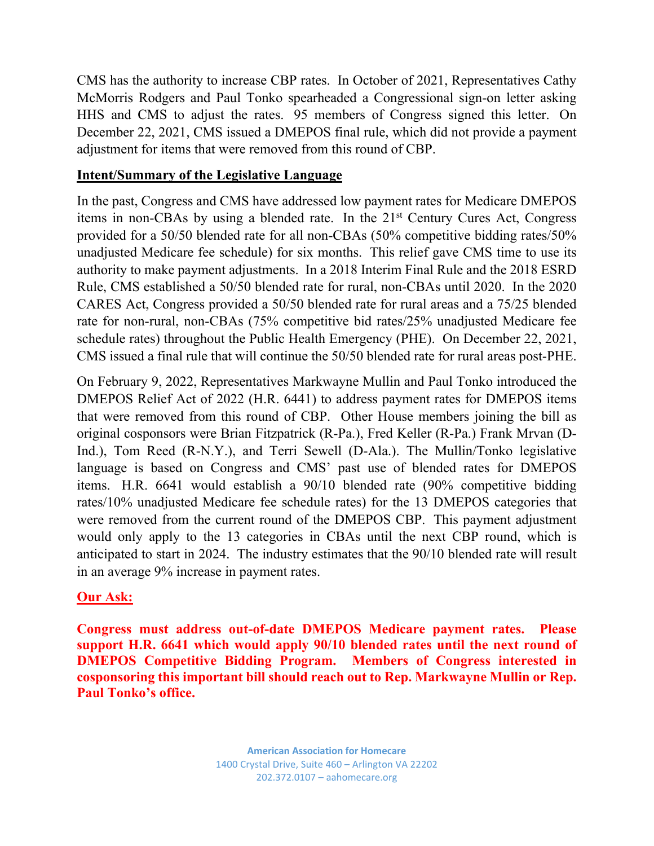CMS has the authority to increase CBP rates. In October of 2021, Representatives Cathy McMorris Rodgers and Paul Tonko spearheaded a Congressional sign-on letter asking HHS and CMS to adjust the rates. 95 members of Congress signed this letter. On December 22, 2021, CMS issued a DMEPOS final rule, which did not provide a payment adjustment for items that were removed from this round of CBP.

## **Intent/Summary of the Legislative Language**

In the past, Congress and CMS have addressed low payment rates for Medicare DMEPOS items in non-CBAs by using a blended rate. In the 21st Century Cures Act, Congress provided for a 50/50 blended rate for all non-CBAs (50% competitive bidding rates/50% unadjusted Medicare fee schedule) for six months. This relief gave CMS time to use its authority to make payment adjustments. In a 2018 Interim Final Rule and the 2018 ESRD Rule, CMS established a 50/50 blended rate for rural, non-CBAs until 2020. In the 2020 CARES Act, Congress provided a 50/50 blended rate for rural areas and a 75/25 blended rate for non-rural, non-CBAs (75% competitive bid rates/25% unadjusted Medicare fee schedule rates) throughout the Public Health Emergency (PHE). On December 22, 2021, CMS issued a final rule that will continue the 50/50 blended rate for rural areas post-PHE.

On February 9, 2022, Representatives Markwayne Mullin and Paul Tonko introduced the DMEPOS Relief Act of 2022 (H.R. 6441) to address payment rates for DMEPOS items that were removed from this round of CBP. Other House members joining the bill as original cosponsors were Brian Fitzpatrick (R-Pa.), Fred Keller (R-Pa.) Frank Mrvan (D-Ind.), Tom Reed (R-N.Y.), and Terri Sewell (D-Ala.). The Mullin/Tonko legislative language is based on Congress and CMS' past use of blended rates for DMEPOS items. H.R. 6641 would establish a 90/10 blended rate (90% competitive bidding rates/10% unadjusted Medicare fee schedule rates) for the 13 DMEPOS categories that were removed from the current round of the DMEPOS CBP. This payment adjustment would only apply to the 13 categories in CBAs until the next CBP round, which is anticipated to start in 2024. The industry estimates that the 90/10 blended rate will result in an average 9% increase in payment rates.

## **Our Ask:**

**Congress must address out-of-date DMEPOS Medicare payment rates. Please support H.R. 6641 which would apply 90/10 blended rates until the next round of DMEPOS Competitive Bidding Program. Members of Congress interested in cosponsoring this important bill should reach out to Rep. Markwayne Mullin or Rep. Paul Tonko's office.**